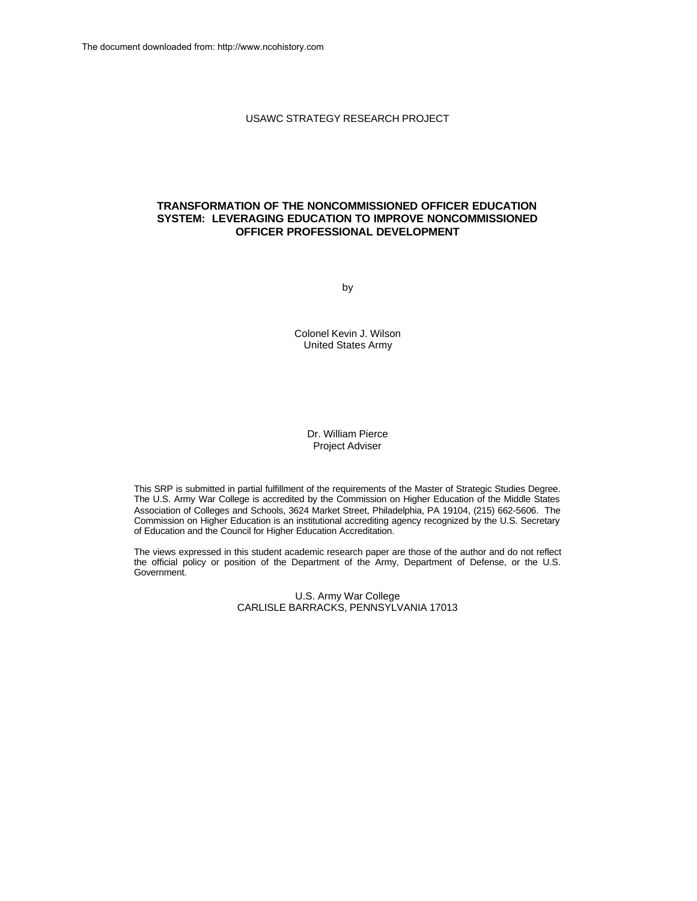USAWC STRATEGY RESEARCH PROJECT

# **TRANSFORMATION OF THE NONCOMMISSIONED OFFICER EDUCATION SYSTEM: LEVERAGING EDUCATION TO IMPROVE NONCOMMISSIONED OFFICER PROFESSIONAL DEVELOPMENT**

by

Colonel Kevin J. Wilson United States Army

> Dr. William Pierce Project Adviser

This SRP is submitted in partial fulfillment of the requirements of the Master of Strategic Studies Degree. The U.S. Army War College is accredited by the Commission on Higher Education of the Middle States Association of Colleges and Schools, 3624 Market Street, Philadelphia, PA 19104, (215) 662-5606. The Commission on Higher Education is an institutional accrediting agency recognized by the U.S. Secretary of Education and the Council for Higher Education Accreditation.

The views expressed in this student academic research paper are those of the author and do not reflect the official policy or position of the Department of the Army, Department of Defense, or the U.S. Government.

> U.S. Army War College CARLISLE BARRACKS, PENNSYLVANIA 17013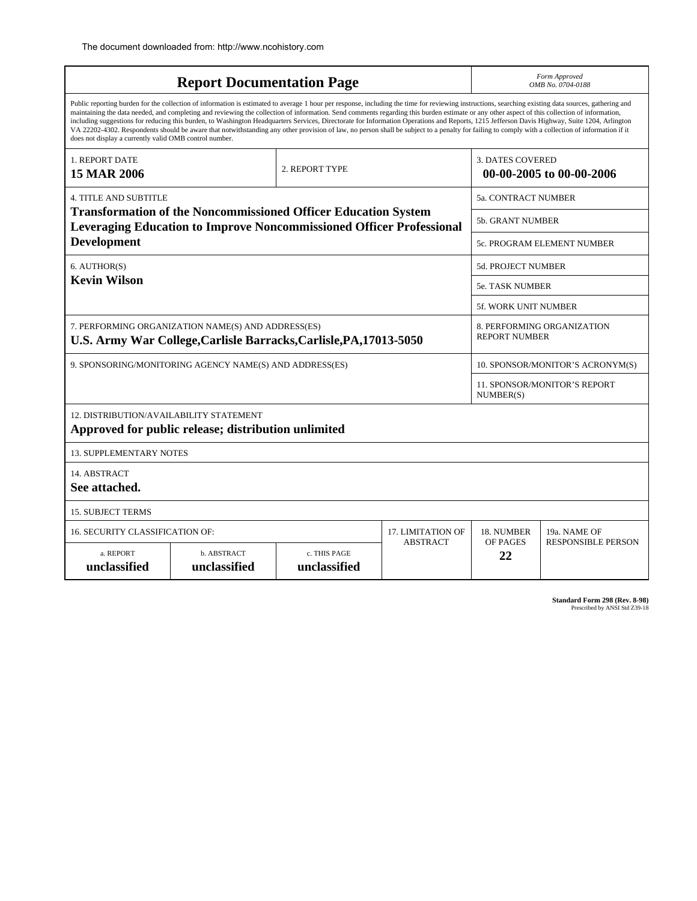| <b>Report Documentation Page</b>                                                                                                                                                                                                                                                                                                                                                                                                                                                                                                                                                                                                                                                                                                                                                                                                                                   |                             |                              |                           |                                  | Form Approved<br>OMB No. 0704-0188                 |  |
|--------------------------------------------------------------------------------------------------------------------------------------------------------------------------------------------------------------------------------------------------------------------------------------------------------------------------------------------------------------------------------------------------------------------------------------------------------------------------------------------------------------------------------------------------------------------------------------------------------------------------------------------------------------------------------------------------------------------------------------------------------------------------------------------------------------------------------------------------------------------|-----------------------------|------------------------------|---------------------------|----------------------------------|----------------------------------------------------|--|
| Public reporting burden for the collection of information is estimated to average 1 hour per response, including the time for reviewing instructions, searching existing data sources, gathering and<br>maintaining the data needed, and completing and reviewing the collection of information. Send comments regarding this burden estimate or any other aspect of this collection of information,<br>including suggestions for reducing this burden, to Washington Headquarters Services, Directorate for Information Operations and Reports, 1215 Jefferson Davis Highway, Suite 1204, Arlington<br>VA 22202-4302. Respondents should be aware that notwithstanding any other provision of law, no person shall be subject to a penalty for failing to comply with a collection of information if it<br>does not display a currently valid OMB control number. |                             |                              |                           |                                  |                                                    |  |
| 1. REPORT DATE<br><b>15 MAR 2006</b>                                                                                                                                                                                                                                                                                                                                                                                                                                                                                                                                                                                                                                                                                                                                                                                                                               |                             | 2. REPORT TYPE               |                           | <b>3. DATES COVERED</b>          | 00-00-2005 to 00-00-2006                           |  |
| <b>4. TITLE AND SUBTITLE</b>                                                                                                                                                                                                                                                                                                                                                                                                                                                                                                                                                                                                                                                                                                                                                                                                                                       |                             |                              | 5a. CONTRACT NUMBER       |                                  |                                                    |  |
| <b>Transformation of the Noncommissioned Officer Education System</b><br><b>Leveraging Education to Improve Noncommissioned Officer Professional</b>                                                                                                                                                                                                                                                                                                                                                                                                                                                                                                                                                                                                                                                                                                               |                             |                              |                           |                                  | <b>5b. GRANT NUMBER</b>                            |  |
| <b>Development</b>                                                                                                                                                                                                                                                                                                                                                                                                                                                                                                                                                                                                                                                                                                                                                                                                                                                 |                             |                              |                           | 5c. PROGRAM ELEMENT NUMBER       |                                                    |  |
| 6. AUTHOR(S)                                                                                                                                                                                                                                                                                                                                                                                                                                                                                                                                                                                                                                                                                                                                                                                                                                                       |                             |                              | <b>5d. PROJECT NUMBER</b> |                                  |                                                    |  |
| <b>Kevin Wilson</b>                                                                                                                                                                                                                                                                                                                                                                                                                                                                                                                                                                                                                                                                                                                                                                                                                                                |                             |                              |                           | <b>5e. TASK NUMBER</b>           |                                                    |  |
|                                                                                                                                                                                                                                                                                                                                                                                                                                                                                                                                                                                                                                                                                                                                                                                                                                                                    |                             |                              |                           |                                  | 5f. WORK UNIT NUMBER                               |  |
| 7. PERFORMING ORGANIZATION NAME(S) AND ADDRESS(ES)<br>U.S. Army War College, Carlisle Barracks, Carlisle, PA, 17013-5050                                                                                                                                                                                                                                                                                                                                                                                                                                                                                                                                                                                                                                                                                                                                           |                             |                              |                           |                                  | 8. PERFORMING ORGANIZATION<br><b>REPORT NUMBER</b> |  |
| 9. SPONSORING/MONITORING AGENCY NAME(S) AND ADDRESS(ES)                                                                                                                                                                                                                                                                                                                                                                                                                                                                                                                                                                                                                                                                                                                                                                                                            |                             |                              |                           | 10. SPONSOR/MONITOR'S ACRONYM(S) |                                                    |  |
|                                                                                                                                                                                                                                                                                                                                                                                                                                                                                                                                                                                                                                                                                                                                                                                                                                                                    |                             |                              |                           |                                  | <b>11. SPONSOR/MONITOR'S REPORT</b><br>NUMBER(S)   |  |
| 12. DISTRIBUTION/AVAILABILITY STATEMENT<br>Approved for public release; distribution unlimited                                                                                                                                                                                                                                                                                                                                                                                                                                                                                                                                                                                                                                                                                                                                                                     |                             |                              |                           |                                  |                                                    |  |
|                                                                                                                                                                                                                                                                                                                                                                                                                                                                                                                                                                                                                                                                                                                                                                                                                                                                    |                             |                              |                           |                                  |                                                    |  |
| <b>13. SUPPLEMENTARY NOTES</b>                                                                                                                                                                                                                                                                                                                                                                                                                                                                                                                                                                                                                                                                                                                                                                                                                                     |                             |                              |                           |                                  |                                                    |  |
| 14. ABSTRACT<br>See attached.                                                                                                                                                                                                                                                                                                                                                                                                                                                                                                                                                                                                                                                                                                                                                                                                                                      |                             |                              |                           |                                  |                                                    |  |
| <b>15. SUBJECT TERMS</b>                                                                                                                                                                                                                                                                                                                                                                                                                                                                                                                                                                                                                                                                                                                                                                                                                                           |                             |                              |                           |                                  |                                                    |  |
| 16. SECURITY CLASSIFICATION OF:                                                                                                                                                                                                                                                                                                                                                                                                                                                                                                                                                                                                                                                                                                                                                                                                                                    |                             |                              | <b>17. LIMITATION OF</b>  | 18. NUMBER<br>OF PAGES           | 19a. NAME OF                                       |  |
| a. REPORT<br>unclassified                                                                                                                                                                                                                                                                                                                                                                                                                                                                                                                                                                                                                                                                                                                                                                                                                                          | b. ABSTRACT<br>unclassified | c. THIS PAGE<br>unclassified | <b>ABSTRACT</b>           | 22                               | <b>RESPONSIBLE PERSON</b>                          |  |

**Standard Form 298 (Rev. 8-98)**<br>Prescribed by ANSI Std Z39-18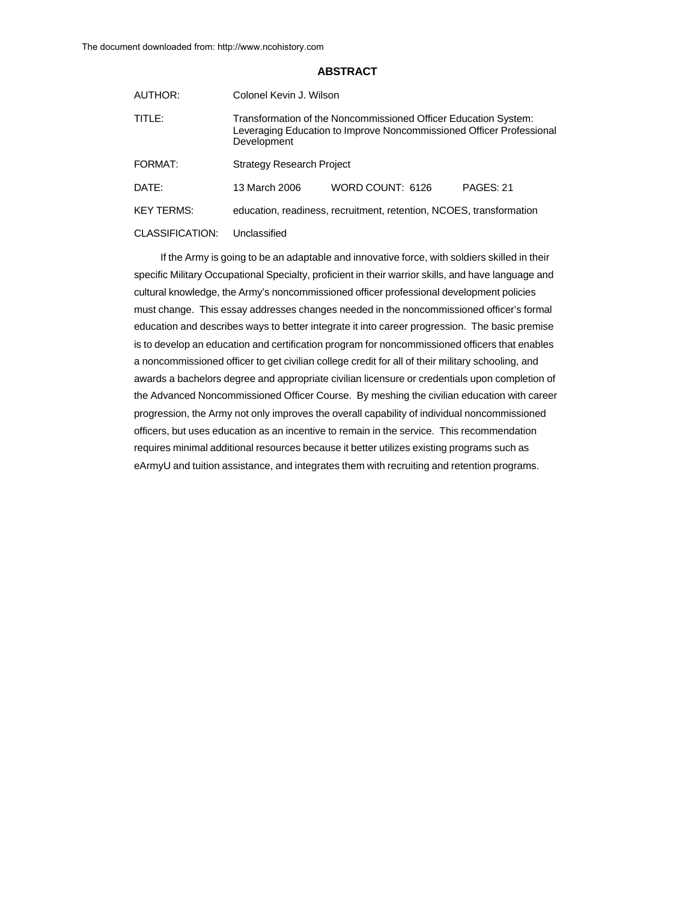The document downloaded from: http://www.ncohistory.com

| AUTHOR:           | Colonel Kevin J. Wilson                                                                                                                                |                  |           |  |  |
|-------------------|--------------------------------------------------------------------------------------------------------------------------------------------------------|------------------|-----------|--|--|
| TITLE:            | Transformation of the Noncommissioned Officer Education System:<br>Leveraging Education to Improve Noncommissioned Officer Professional<br>Development |                  |           |  |  |
| FORMAT:           | <b>Strategy Research Project</b>                                                                                                                       |                  |           |  |  |
| DATE:             | 13 March 2006                                                                                                                                          | WORD COUNT: 6126 | PAGES: 21 |  |  |
| <b>KEY TERMS:</b> | education, readiness, recruitment, retention, NCOES, transformation                                                                                    |                  |           |  |  |
| CLASSIFICATION:   | Unclassified                                                                                                                                           |                  |           |  |  |

## **ABSTRACT**

If the Army is going to be an adaptable and innovative force, with soldiers skilled in their specific Military Occupational Specialty, proficient in their warrior skills, and have language and cultural knowledge, the Army's noncommissioned officer professional development policies must change. This essay addresses changes needed in the noncommissioned officer's formal education and describes ways to better integrate it into career progression. The basic premise is to develop an education and certification program for noncommissioned officers that enables a noncommissioned officer to get civilian college credit for all of their military schooling, and awards a bachelors degree and appropriate civilian licensure or credentials upon completion of the Advanced Noncommissioned Officer Course. By meshing the civilian education with career progression, the Army not only improves the overall capability of individual noncommissioned officers, but uses education as an incentive to remain in the service. This recommendation requires minimal additional resources because it better utilizes existing programs such as eArmyU and tuition assistance, and integrates them with recruiting and retention programs.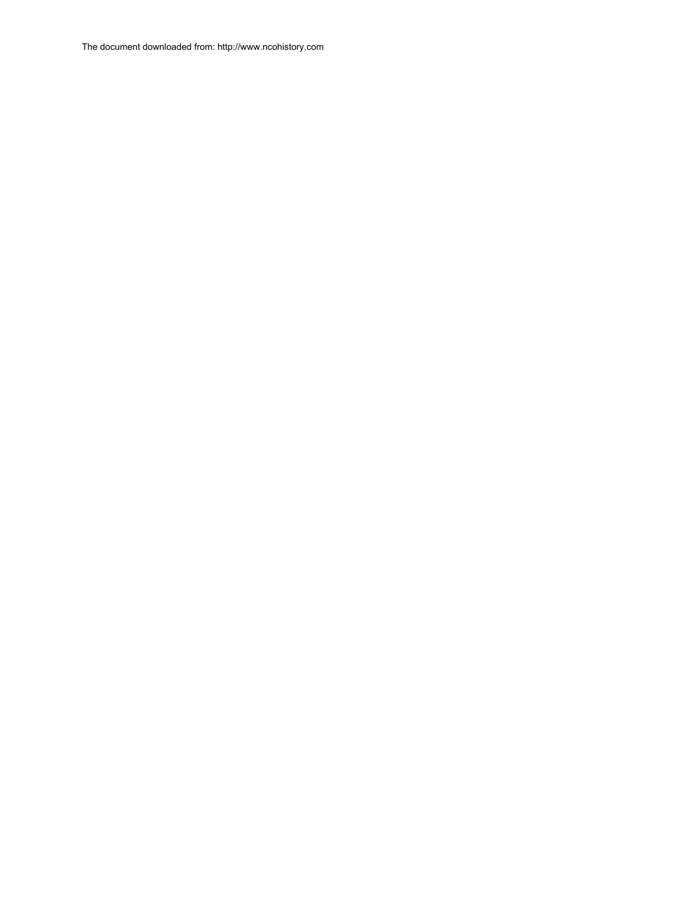The document downloaded from: http://www.ncohistory.com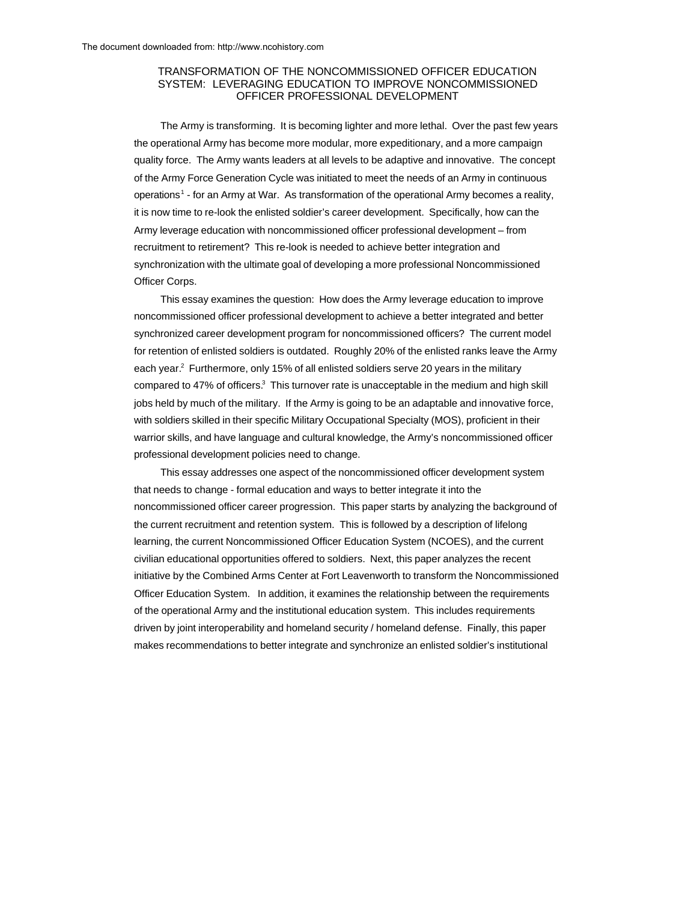## TRANSFORMATION OF THE NONCOMMISSIONED OFFICER EDUCATION SYSTEM: LEVERAGING EDUCATION TO IMPROVE NONCOMMISSIONED OFFICER PROFESSIONAL DEVELOPMENT

The Army is transforming. It is becoming lighter and more lethal. Over the past few years the operational Army has become more modular, more expeditionary, and a more campaign quality force. The Army wants leaders at all levels to be adaptive and innovative. The concept of the Army Force Generation Cycle was initiated to meet the needs of an Army in continuous operations<sup>1</sup> - for an Army at War. As transformation of the operational Army becomes a reality, it is now time to re-look the enlisted soldier's career development. Specifically, how can the Army leverage education with noncommissioned officer professional development – from recruitment to retirement? This re-look is needed to achieve better integration and synchronization with the ultimate goal of developing a more professional Noncommissioned Officer Corps.

This essay examines the question: How does the Army leverage education to improve noncommissioned officer professional development to achieve a better integrated and better synchronized career development program for noncommissioned officers? The current model for retention of enlisted soldiers is outdated. Roughly 20% of the enlisted ranks leave the Army each year.<sup>2</sup> Furthermore, only 15% of all enlisted soldiers serve 20 years in the military compared to 47% of officers.<sup>3</sup> This turnover rate is unacceptable in the medium and high skill jobs held by much of the military. If the Army is going to be an adaptable and innovative force, with soldiers skilled in their specific Military Occupational Specialty (MOS), proficient in their warrior skills, and have language and cultural knowledge, the Army's noncommissioned officer professional development policies need to change.

This essay addresses one aspect of the noncommissioned officer development system that needs to change - formal education and ways to better integrate it into the noncommissioned officer career progression. This paper starts by analyzing the background of the current recruitment and retention system. This is followed by a description of lifelong learning, the current Noncommissioned Officer Education System (NCOES), and the current civilian educational opportunities offered to soldiers. Next, this paper analyzes the recent initiative by the Combined Arms Center at Fort Leavenworth to transform the Noncommissioned Officer Education System. In addition, it examines the relationship between the requirements of the operational Army and the institutional education system. This includes requirements driven by joint interoperability and homeland security / homeland defense. Finally, this paper makes recommendations to better integrate and synchronize an enlisted soldier's institutional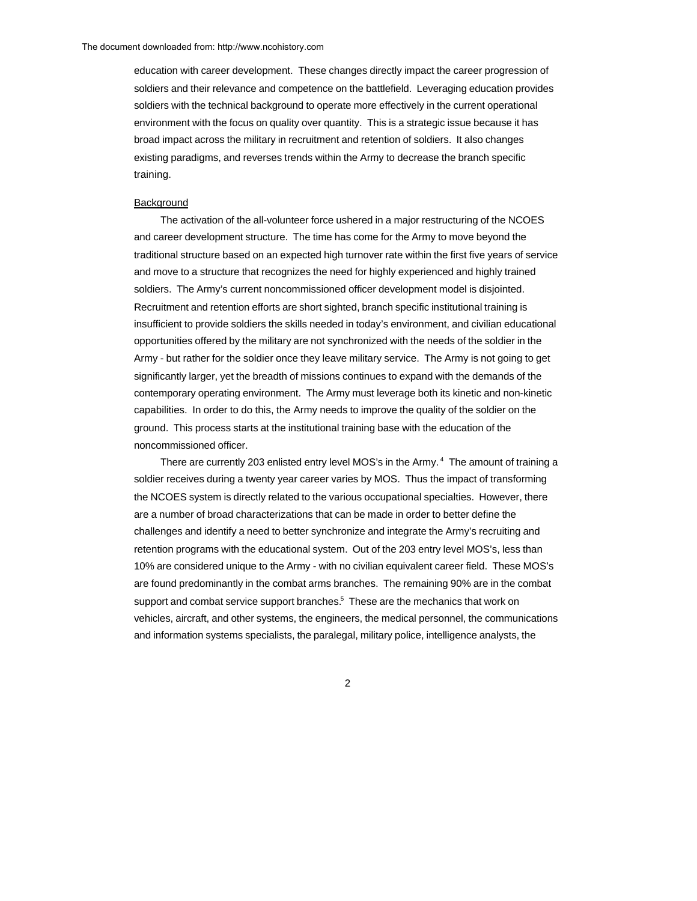education with career development. These changes directly impact the career progression of soldiers and their relevance and competence on the battlefield. Leveraging education provides soldiers with the technical background to operate more effectively in the current operational environment with the focus on quality over quantity. This is a strategic issue because it has broad impact across the military in recruitment and retention of soldiers. It also changes existing paradigms, and reverses trends within the Army to decrease the branch specific training.

## **Background**

The activation of the all-volunteer force ushered in a major restructuring of the NCOES and career development structure. The time has come for the Army to move beyond the traditional structure based on an expected high turnover rate within the first five years of service and move to a structure that recognizes the need for highly experienced and highly trained soldiers. The Army's current noncommissioned officer development model is disjointed. Recruitment and retention efforts are short sighted, branch specific institutional training is insufficient to provide soldiers the skills needed in today's environment, and civilian educational opportunities offered by the military are not synchronized with the needs of the soldier in the Army - but rather for the soldier once they leave military service. The Army is not going to get significantly larger, yet the breadth of missions continues to expand with the demands of the contemporary operating environment. The Army must leverage both its kinetic and non-kinetic capabilities. In order to do this, the Army needs to improve the quality of the soldier on the ground. This process starts at the institutional training base with the education of the noncommissioned officer.

There are currently 203 enlisted entry level MOS's in the Army.<sup>4</sup> The amount of training a soldier receives during a twenty year career varies by MOS. Thus the impact of transforming the NCOES system is directly related to the various occupational specialties. However, there are a number of broad characterizations that can be made in order to better define the challenges and identify a need to better synchronize and integrate the Army's recruiting and retention programs with the educational system. Out of the 203 entry level MOS's, less than 10% are considered unique to the Army - with no civilian equivalent career field. These MOS's are found predominantly in the combat arms branches. The remaining 90% are in the combat support and combat service support branches.<sup>5</sup> These are the mechanics that work on vehicles, aircraft, and other systems, the engineers, the medical personnel, the communications and information systems specialists, the paralegal, military police, intelligence analysts, the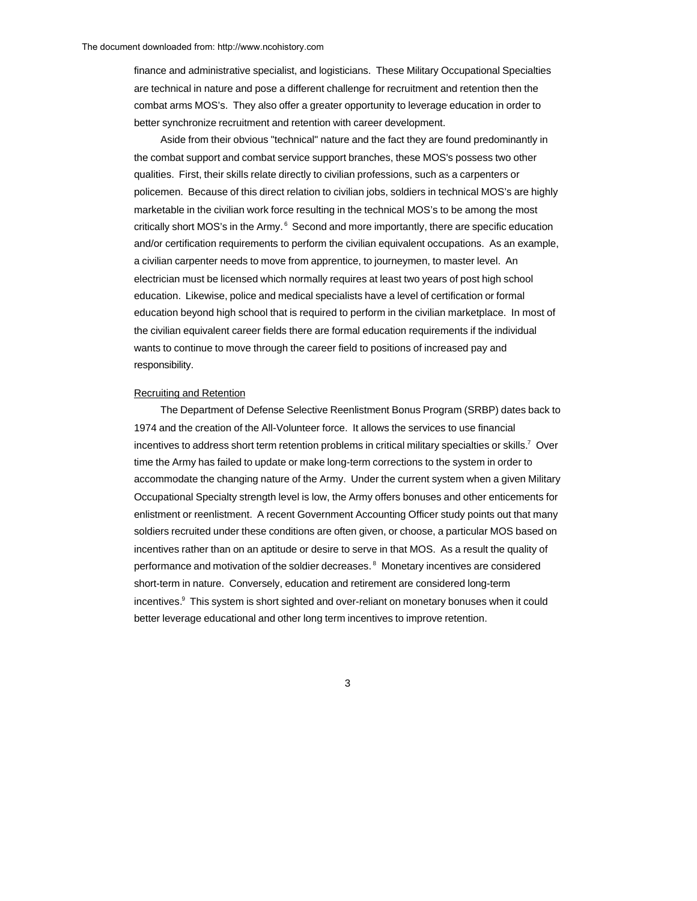finance and administrative specialist, and logisticians. These Military Occupational Specialties are technical in nature and pose a different challenge for recruitment and retention then the combat arms MOS's. They also offer a greater opportunity to leverage education in order to better synchronize recruitment and retention with career development.

Aside from their obvious "technical" nature and the fact they are found predominantly in the combat support and combat service support branches, these MOS's possess two other qualities. First, their skills relate directly to civilian professions, such as a carpenters or policemen. Because of this direct relation to civilian jobs, soldiers in technical MOS's are highly marketable in the civilian work force resulting in the technical MOS's to be among the most critically short MOS's in the Army.<sup>6</sup> Second and more importantly, there are specific education and/or certification requirements to perform the civilian equivalent occupations. As an example, a civilian carpenter needs to move from apprentice, to journeymen, to master level. An electrician must be licensed which normally requires at least two years of post high school education. Likewise, police and medical specialists have a level of certification or formal education beyond high school that is required to perform in the civilian marketplace. In most of the civilian equivalent career fields there are formal education requirements if the individual wants to continue to move through the career field to positions of increased pay and responsibility.

### Recruiting and Retention

The Department of Defense Selective Reenlistment Bonus Program (SRBP) dates back to 1974 and the creation of the All-Volunteer force. It allows the services to use financial incentives to address short term retention problems in critical military specialties or skills.<sup>7</sup> Over time the Army has failed to update or make long-term corrections to the system in order to accommodate the changing nature of the Army. Under the current system when a given Military Occupational Specialty strength level is low, the Army offers bonuses and other enticements for enlistment or reenlistment. A recent Government Accounting Officer study points out that many soldiers recruited under these conditions are often given, or choose, a particular MOS based on incentives rather than on an aptitude or desire to serve in that MOS. As a result the quality of performance and motivation of the soldier decreases. <sup>8</sup> Monetary incentives are considered short-term in nature. Conversely, education and retirement are considered long-term incentives.<sup>9</sup> This system is short sighted and over-reliant on monetary bonuses when it could better leverage educational and other long term incentives to improve retention.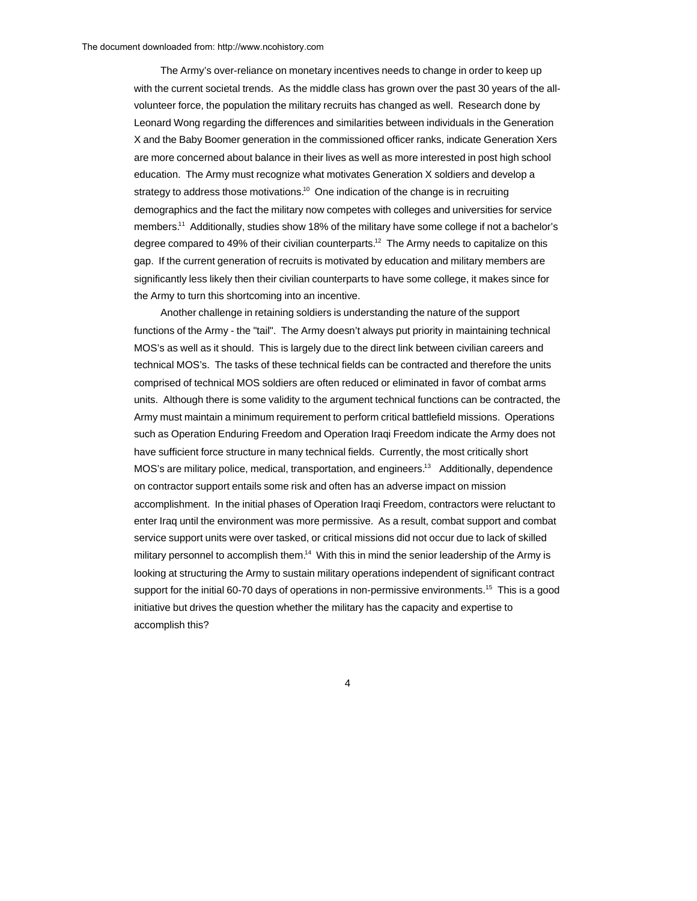The Army's over-reliance on monetary incentives needs to change in order to keep up with the current societal trends. As the middle class has grown over the past 30 years of the allvolunteer force, the population the military recruits has changed as well. Research done by Leonard Wong regarding the differences and similarities between individuals in the Generation X and the Baby Boomer generation in the commissioned officer ranks, indicate Generation Xers are more concerned about balance in their lives as well as more interested in post high school education. The Army must recognize what motivates Generation X soldiers and develop a strategy to address those motivations.<sup>10</sup> One indication of the change is in recruiting demographics and the fact the military now competes with colleges and universities for service members.<sup>11</sup> Additionally, studies show 18% of the military have some college if not a bachelor's degree compared to 49% of their civilian counterparts.<sup>12</sup> The Army needs to capitalize on this gap. If the current generation of recruits is motivated by education and military members are significantly less likely then their civilian counterparts to have some college, it makes since for the Army to turn this shortcoming into an incentive.

Another challenge in retaining soldiers is understanding the nature of the support functions of the Army - the "tail". The Army doesn't always put priority in maintaining technical MOS's as well as it should. This is largely due to the direct link between civilian careers and technical MOS's. The tasks of these technical fields can be contracted and therefore the units comprised of technical MOS soldiers are often reduced or eliminated in favor of combat arms units. Although there is some validity to the argument technical functions can be contracted, the Army must maintain a minimum requirement to perform critical battlefield missions. Operations such as Operation Enduring Freedom and Operation Iraqi Freedom indicate the Army does not have sufficient force structure in many technical fields. Currently, the most critically short MOS's are military police, medical, transportation, and engineers.<sup>13</sup> Additionally, dependence on contractor support entails some risk and often has an adverse impact on mission accomplishment. In the initial phases of Operation Iraqi Freedom, contractors were reluctant to enter Iraq until the environment was more permissive. As a result, combat support and combat service support units were over tasked, or critical missions did not occur due to lack of skilled military personnel to accomplish them.<sup>14</sup> With this in mind the senior leadership of the Army is looking at structuring the Army to sustain military operations independent of significant contract support for the initial 60-70 days of operations in non-permissive environments.<sup>15</sup> This is a good initiative but drives the question whether the military has the capacity and expertise to accomplish this?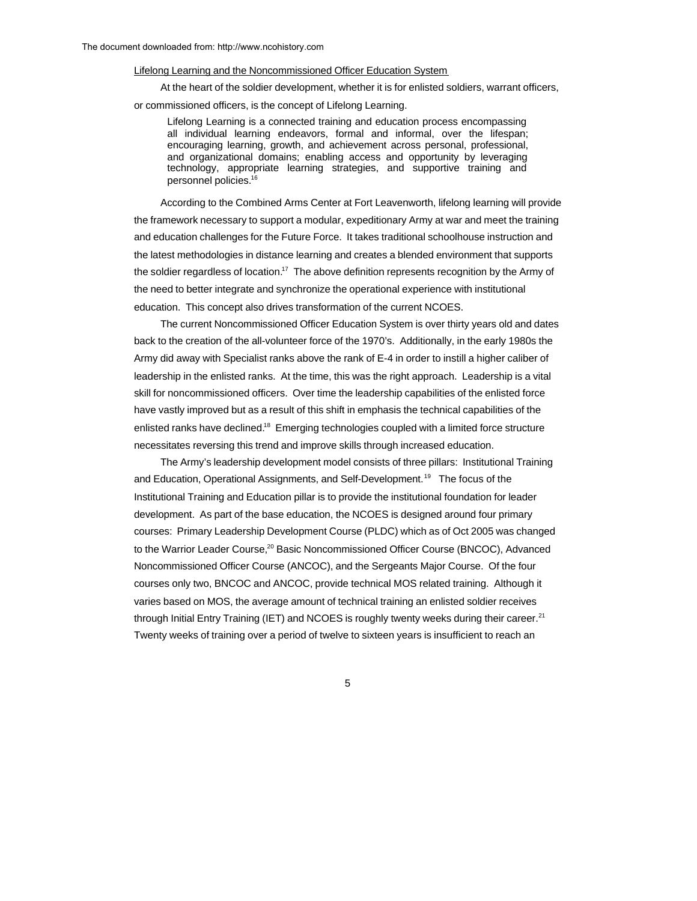#### Lifelong Learning and the Noncommissioned Officer Education System

At the heart of the soldier development, whether it is for enlisted soldiers, warrant officers,

or commissioned officers, is the concept of Lifelong Learning.

Lifelong Learning is a connected training and education process encompassing all individual learning endeavors, formal and informal, over the lifespan; encouraging learning, growth, and achievement across personal, professional, and organizational domains; enabling access and opportunity by leveraging technology, appropriate learning strategies, and supportive training and personnel policies.<sup>16</sup>

According to the Combined Arms Center at Fort Leavenworth, lifelong learning will provide the framework necessary to support a modular, expeditionary Army at war and meet the training and education challenges for the Future Force. It takes traditional schoolhouse instruction and the latest methodologies in distance learning and creates a blended environment that supports the soldier regardless of location.<sup>17</sup> The above definition represents recognition by the Army of the need to better integrate and synchronize the operational experience with institutional education. This concept also drives transformation of the current NCOES.

The current Noncommissioned Officer Education System is over thirty years old and dates back to the creation of the all-volunteer force of the 1970's. Additionally, in the early 1980s the Army did away with Specialist ranks above the rank of E-4 in order to instill a higher caliber of leadership in the enlisted ranks. At the time, this was the right approach. Leadership is a vital skill for noncommissioned officers. Over time the leadership capabilities of the enlisted force have vastly improved but as a result of this shift in emphasis the technical capabilities of the enlisted ranks have declined.<sup>18</sup> Emerging technologies coupled with a limited force structure necessitates reversing this trend and improve skills through increased education.

The Army's leadership development model consists of three pillars: Institutional Training and Education, Operational Assignments, and Self-Development.<sup>19</sup> The focus of the Institutional Training and Education pillar is to provide the institutional foundation for leader development. As part of the base education, the NCOES is designed around four primary courses: Primary Leadership Development Course (PLDC) which as of Oct 2005 was changed to the Warrior Leader Course,<sup>20</sup> Basic Noncommissioned Officer Course (BNCOC), Advanced Noncommissioned Officer Course (ANCOC), and the Sergeants Major Course. Of the four courses only two, BNCOC and ANCOC, provide technical MOS related training. Although it varies based on MOS, the average amount of technical training an enlisted soldier receives through Initial Entry Training (IET) and NCOES is roughly twenty weeks during their career.<sup>21</sup> Twenty weeks of training over a period of twelve to sixteen years is insufficient to reach an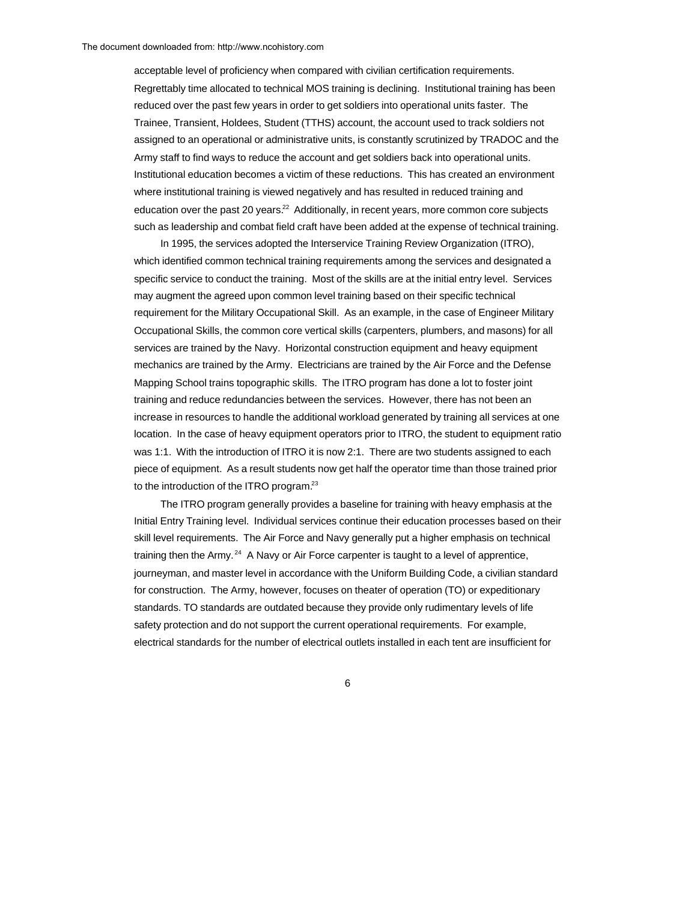acceptable level of proficiency when compared with civilian certification requirements. Regrettably time allocated to technical MOS training is declining. Institutional training has been reduced over the past few years in order to get soldiers into operational units faster. The Trainee, Transient, Holdees, Student (TTHS) account, the account used to track soldiers not assigned to an operational or administrative units, is constantly scrutinized by TRADOC and the Army staff to find ways to reduce the account and get soldiers back into operational units. Institutional education becomes a victim of these reductions. This has created an environment where institutional training is viewed negatively and has resulted in reduced training and education over the past 20 years. $22$  Additionally, in recent years, more common core subjects such as leadership and combat field craft have been added at the expense of technical training.

In 1995, the services adopted the Interservice Training Review Organization (ITRO), which identified common technical training requirements among the services and designated a specific service to conduct the training. Most of the skills are at the initial entry level. Services may augment the agreed upon common level training based on their specific technical requirement for the Military Occupational Skill. As an example, in the case of Engineer Military Occupational Skills, the common core vertical skills (carpenters, plumbers, and masons) for all services are trained by the Navy. Horizontal construction equipment and heavy equipment mechanics are trained by the Army. Electricians are trained by the Air Force and the Defense Mapping School trains topographic skills. The ITRO program has done a lot to foster joint training and reduce redundancies between the services. However, there has not been an increase in resources to handle the additional workload generated by training all services at one location. In the case of heavy equipment operators prior to ITRO, the student to equipment ratio was 1:1. With the introduction of ITRO it is now 2:1. There are two students assigned to each piece of equipment. As a result students now get half the operator time than those trained prior to the introduction of the ITRO program.<sup>23</sup>

The ITRO program generally provides a baseline for training with heavy emphasis at the Initial Entry Training level. Individual services continue their education processes based on their skill level requirements. The Air Force and Navy generally put a higher emphasis on technical training then the Army.<sup>24</sup> A Navy or Air Force carpenter is taught to a level of apprentice, journeyman, and master level in accordance with the Uniform Building Code, a civilian standard for construction. The Army, however, focuses on theater of operation (TO) or expeditionary standards. TO standards are outdated because they provide only rudimentary levels of life safety protection and do not support the current operational requirements. For example, electrical standards for the number of electrical outlets installed in each tent are insufficient for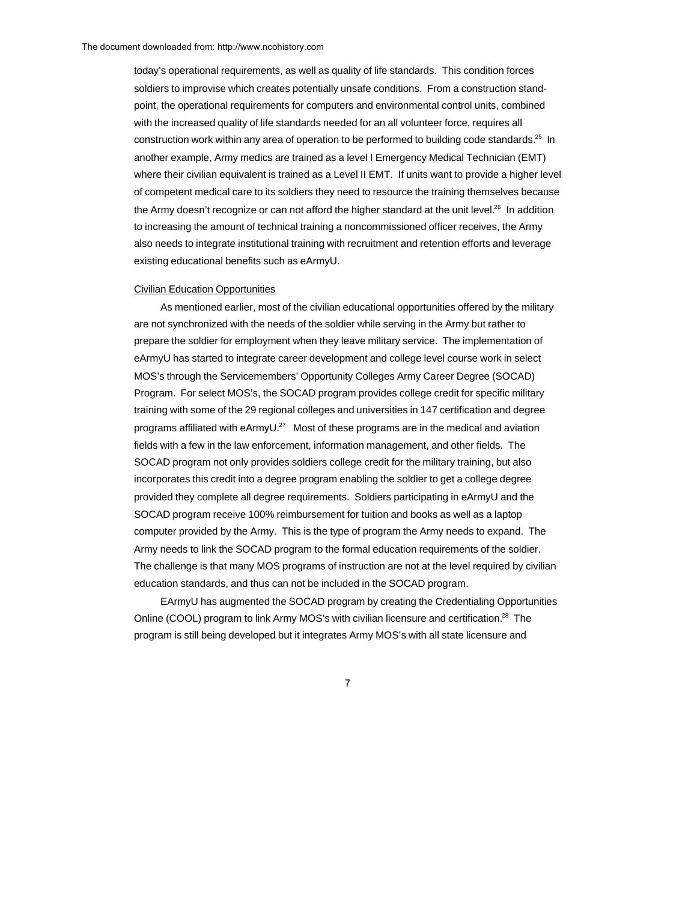today's operational requirements, as well as quality of life standards. This condition forces soldiers to improvise which creates potentially unsafe conditions. From a construction standpoint, the operational requirements for computers and environmental control units, combined with the increased quality of life standards needed for an all volunteer force, requires all construction work within any area of operation to be performed to building code standards.<sup>25</sup> In another example, Army medics are trained as a level I Emergency Medical Technician (EMT) where their civilian equivalent is trained as a Level II EMT. If units want to provide a higher level of competent medical care to its soldiers they need to resource the training themselves because the Army doesn't recognize or can not afford the higher standard at the unit level.<sup>26</sup> In addition to increasing the amount of technical training a noncommissioned officer receives, the Army also needs to integrate institutional training with recruitment and retention efforts and leverage existing educational benefits such as eArmyU.

#### Civilian Education Opportunities

As mentioned earlier, most of the civilian educational opportunities offered by the military are not synchronized with the needs of the soldier while serving in the Army but rather to prepare the soldier for employment when they leave military service. The implementation of eArmyU has started to integrate career development and college level course work in select MOS's through the Servicemembers' Opportunity Colleges Army Career Degree (SOCAD) Program. For select MOS's, the SOCAD program provides college credit for specific military training with some of the 29 regional colleges and universities in 147 certification and degree programs affiliated with eArmyU.<sup>27</sup> Most of these programs are in the medical and aviation fields with a few in the law enforcement, information management, and other fields. The SOCAD program not only provides soldiers college credit for the military training, but also incorporates this credit into a degree program enabling the soldier to get a college degree provided they complete all degree requirements. Soldiers participating in eArmyU and the SOCAD program receive 100% reimbursement for tuition and books as well as a laptop computer provided by the Army. This is the type of program the Army needs to expand. The Army needs to link the SOCAD program to the formal education requirements of the soldier. The challenge is that many MOS programs of instruction are not at the level required by civilian education standards, and thus can not be included in the SOCAD program.

EArmyU has augmented the SOCAD program by creating the Credentialing Opportunities Online (COOL) program to link Army MOS's with civilian licensure and certification.<sup>28</sup> The program is still being developed but it integrates Army MOS's with all state licensure and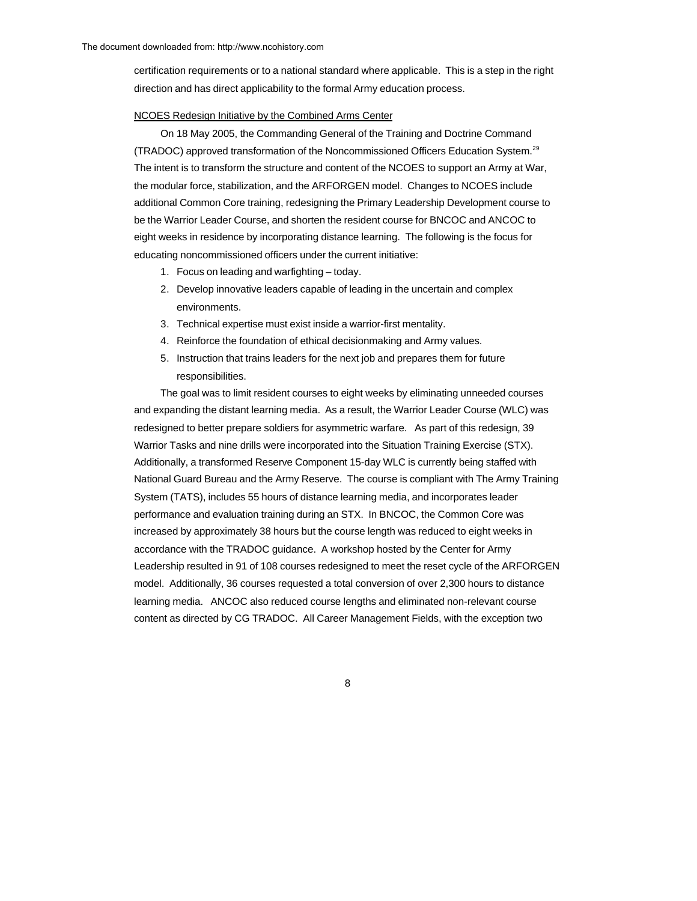certification requirements or to a national standard where applicable. This is a step in the right direction and has direct applicability to the formal Army education process.

#### NCOES Redesign Initiative by the Combined Arms Center

On 18 May 2005, the Commanding General of the Training and Doctrine Command (TRADOC) approved transformation of the Noncommissioned Officers Education System.<sup>29</sup> The intent is to transform the structure and content of the NCOES to support an Army at War, the modular force, stabilization, and the ARFORGEN model. Changes to NCOES include additional Common Core training, redesigning the Primary Leadership Development course to be the Warrior Leader Course, and shorten the resident course for BNCOC and ANCOC to eight weeks in residence by incorporating distance learning. The following is the focus for educating noncommissioned officers under the current initiative:

- 1. Focus on leading and warfighting today.
- 2. Develop innovative leaders capable of leading in the uncertain and complex environments.
- 3. Technical expertise must exist inside a warrior-first mentality.
- 4. Reinforce the foundation of ethical decisionmaking and Army values.
- 5. Instruction that trains leaders for the next job and prepares them for future responsibilities.

The goal was to limit resident courses to eight weeks by eliminating unneeded courses and expanding the distant learning media. As a result, the Warrior Leader Course (WLC) was redesigned to better prepare soldiers for asymmetric warfare. As part of this redesign, 39 Warrior Tasks and nine drills were incorporated into the Situation Training Exercise (STX). Additionally, a transformed Reserve Component 15-day WLC is currently being staffed with National Guard Bureau and the Army Reserve. The course is compliant with The Army Training System (TATS), includes 55 hours of distance learning media, and incorporates leader performance and evaluation training during an STX. In BNCOC, the Common Core was increased by approximately 38 hours but the course length was reduced to eight weeks in accordance with the TRADOC guidance. A workshop hosted by the Center for Army Leadership resulted in 91 of 108 courses redesigned to meet the reset cycle of the ARFORGEN model. Additionally, 36 courses requested a total conversion of over 2,300 hours to distance learning media. ANCOC also reduced course lengths and eliminated non-relevant course content as directed by CG TRADOC. All Career Management Fields, with the exception two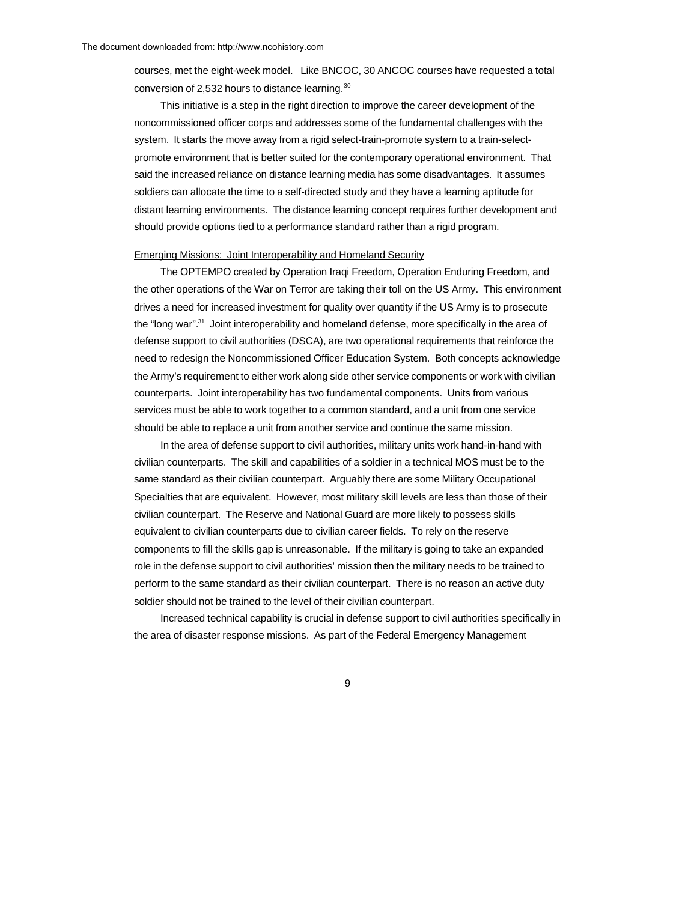courses, met the eight-week model. Like BNCOC, 30 ANCOC courses have requested a total conversion of 2,532 hours to distance learning. $30$ 

This initiative is a step in the right direction to improve the career development of the noncommissioned officer corps and addresses some of the fundamental challenges with the system. It starts the move away from a rigid select-train-promote system to a train-selectpromote environment that is better suited for the contemporary operational environment. That said the increased reliance on distance learning media has some disadvantages. It assumes soldiers can allocate the time to a self-directed study and they have a learning aptitude for distant learning environments. The distance learning concept requires further development and should provide options tied to a performance standard rather than a rigid program.

#### Emerging Missions: Joint Interoperability and Homeland Security

The OPTEMPO created by Operation Iraqi Freedom, Operation Enduring Freedom, and the other operations of the War on Terror are taking their toll on the US Army. This environment drives a need for increased investment for quality over quantity if the US Army is to prosecute the "long war".<sup>31</sup> Joint interoperability and homeland defense, more specifically in the area of defense support to civil authorities (DSCA), are two operational requirements that reinforce the need to redesign the Noncommissioned Officer Education System. Both concepts acknowledge the Army's requirement to either work along side other service components or work with civilian counterparts. Joint interoperability has two fundamental components. Units from various services must be able to work together to a common standard, and a unit from one service should be able to replace a unit from another service and continue the same mission.

In the area of defense support to civil authorities, military units work hand-in-hand with civilian counterparts. The skill and capabilities of a soldier in a technical MOS must be to the same standard as their civilian counterpart. Arguably there are some Military Occupational Specialties that are equivalent. However, most military skill levels are less than those of their civilian counterpart. The Reserve and National Guard are more likely to possess skills equivalent to civilian counterparts due to civilian career fields. To rely on the reserve components to fill the skills gap is unreasonable. If the military is going to take an expanded role in the defense support to civil authorities' mission then the military needs to be trained to perform to the same standard as their civilian counterpart. There is no reason an active duty soldier should not be trained to the level of their civilian counterpart.

Increased technical capability is crucial in defense support to civil authorities specifically in the area of disaster response missions. As part of the Federal Emergency Management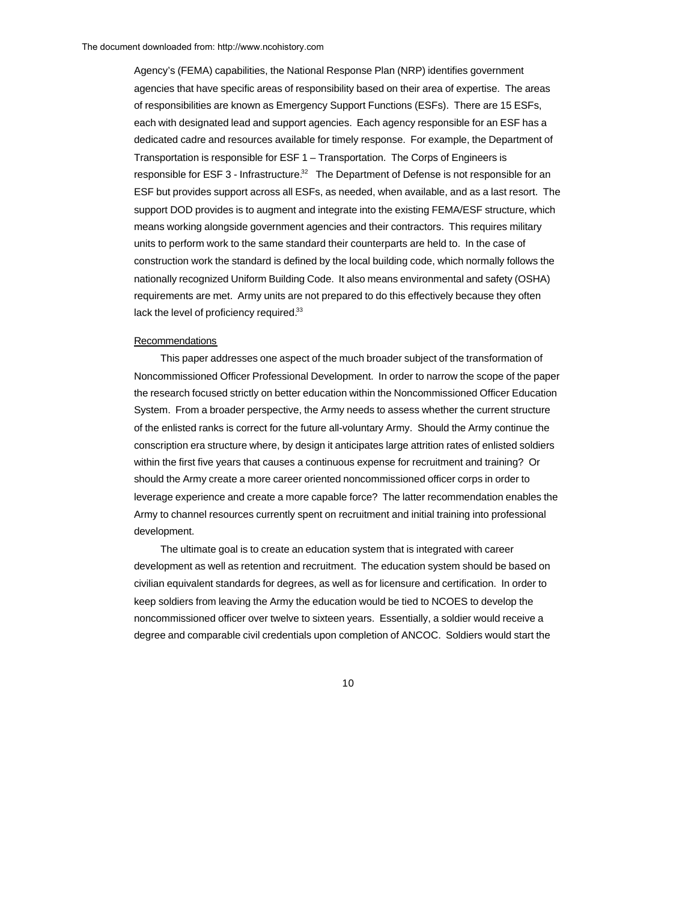Agency's (FEMA) capabilities, the National Response Plan (NRP) identifies government agencies that have specific areas of responsibility based on their area of expertise. The areas of responsibilities are known as Emergency Support Functions (ESFs). There are 15 ESFs, each with designated lead and support agencies. Each agency responsible for an ESF has a dedicated cadre and resources available for timely response. For example, the Department of Transportation is responsible for ESF 1 – Transportation. The Corps of Engineers is responsible for ESF 3 - Infrastructure.<sup>32</sup> The Department of Defense is not responsible for an ESF but provides support across all ESFs, as needed, when available, and as a last resort. The support DOD provides is to augment and integrate into the existing FEMA/ESF structure, which means working alongside government agencies and their contractors. This requires military units to perform work to the same standard their counterparts are held to. In the case of construction work the standard is defined by the local building code, which normally follows the nationally recognized Uniform Building Code. It also means environmental and safety (OSHA) requirements are met. Army units are not prepared to do this effectively because they often lack the level of proficiency required.<sup>33</sup>

### Recommendations

This paper addresses one aspect of the much broader subject of the transformation of Noncommissioned Officer Professional Development. In order to narrow the scope of the paper the research focused strictly on better education within the Noncommissioned Officer Education System. From a broader perspective, the Army needs to assess whether the current structure of the enlisted ranks is correct for the future all-voluntary Army. Should the Army continue the conscription era structure where, by design it anticipates large attrition rates of enlisted soldiers within the first five years that causes a continuous expense for recruitment and training? Or should the Army create a more career oriented noncommissioned officer corps in order to leverage experience and create a more capable force? The latter recommendation enables the Army to channel resources currently spent on recruitment and initial training into professional development.

The ultimate goal is to create an education system that is integrated with career development as well as retention and recruitment. The education system should be based on civilian equivalent standards for degrees, as well as for licensure and certification. In order to keep soldiers from leaving the Army the education would be tied to NCOES to develop the noncommissioned officer over twelve to sixteen years. Essentially, a soldier would receive a degree and comparable civil credentials upon completion of ANCOC. Soldiers would start the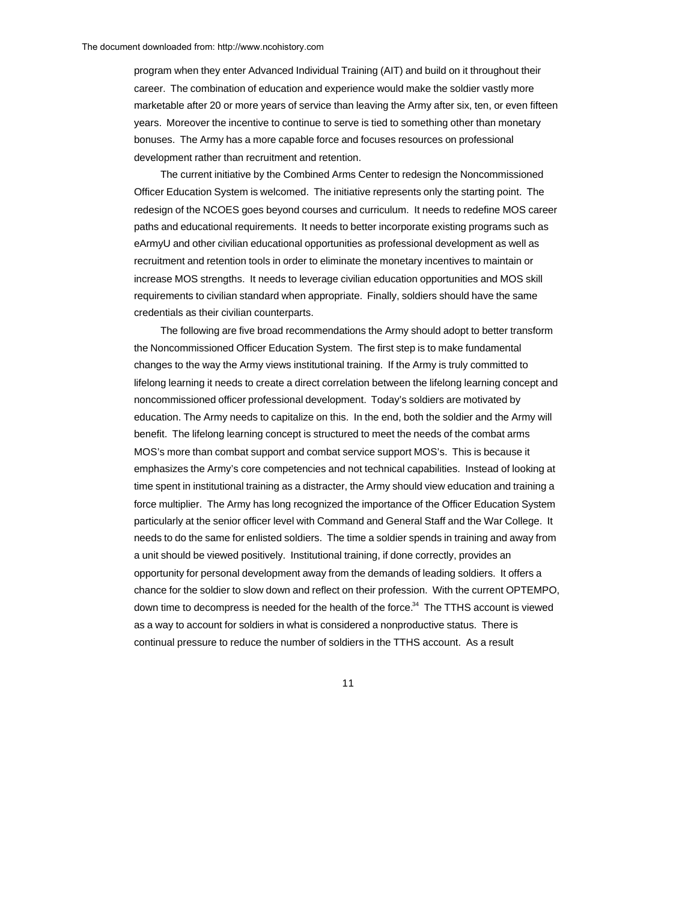program when they enter Advanced Individual Training (AIT) and build on it throughout their career. The combination of education and experience would make the soldier vastly more marketable after 20 or more years of service than leaving the Army after six, ten, or even fifteen years. Moreover the incentive to continue to serve is tied to something other than monetary bonuses. The Army has a more capable force and focuses resources on professional development rather than recruitment and retention.

The current initiative by the Combined Arms Center to redesign the Noncommissioned Officer Education System is welcomed. The initiative represents only the starting point. The redesign of the NCOES goes beyond courses and curriculum. It needs to redefine MOS career paths and educational requirements. It needs to better incorporate existing programs such as eArmyU and other civilian educational opportunities as professional development as well as recruitment and retention tools in order to eliminate the monetary incentives to maintain or increase MOS strengths. It needs to leverage civilian education opportunities and MOS skill requirements to civilian standard when appropriate. Finally, soldiers should have the same credentials as their civilian counterparts.

The following are five broad recommendations the Army should adopt to better transform the Noncommissioned Officer Education System. The first step is to make fundamental changes to the way the Army views institutional training. If the Army is truly committed to lifelong learning it needs to create a direct correlation between the lifelong learning concept and noncommissioned officer professional development. Today's soldiers are motivated by education. The Army needs to capitalize on this. In the end, both the soldier and the Army will benefit. The lifelong learning concept is structured to meet the needs of the combat arms MOS's more than combat support and combat service support MOS's. This is because it emphasizes the Army's core competencies and not technical capabilities. Instead of looking at time spent in institutional training as a distracter, the Army should view education and training a force multiplier. The Army has long recognized the importance of the Officer Education System particularly at the senior officer level with Command and General Staff and the War College. It needs to do the same for enlisted soldiers. The time a soldier spends in training and away from a unit should be viewed positively. Institutional training, if done correctly, provides an opportunity for personal development away from the demands of leading soldiers. It offers a chance for the soldier to slow down and reflect on their profession. With the current OPTEMPO, down time to decompress is needed for the health of the force.<sup>34</sup> The TTHS account is viewed as a way to account for soldiers in what is considered a nonproductive status. There is continual pressure to reduce the number of soldiers in the TTHS account. As a result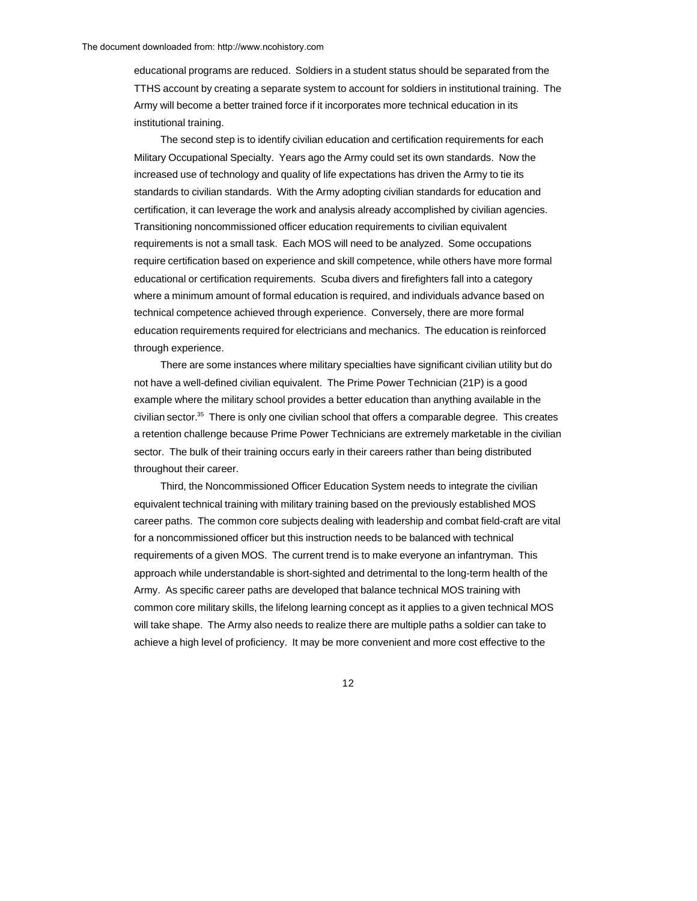educational programs are reduced. Soldiers in a student status should be separated from the TTHS account by creating a separate system to account for soldiers in institutional training. The Army will become a better trained force if it incorporates more technical education in its institutional training.

The second step is to identify civilian education and certification requirements for each Military Occupational Specialty. Years ago the Army could set its own standards. Now the increased use of technology and quality of life expectations has driven the Army to tie its standards to civilian standards. With the Army adopting civilian standards for education and certification, it can leverage the work and analysis already accomplished by civilian agencies. Transitioning noncommissioned officer education requirements to civilian equivalent requirements is not a small task. Each MOS will need to be analyzed. Some occupations require certification based on experience and skill competence, while others have more formal educational or certification requirements. Scuba divers and firefighters fall into a category where a minimum amount of formal education is required, and individuals advance based on technical competence achieved through experience. Conversely, there are more formal education requirements required for electricians and mechanics. The education is reinforced through experience.

There are some instances where military specialties have significant civilian utility but do not have a well-defined civilian equivalent. The Prime Power Technician (21P) is a good example where the military school provides a better education than anything available in the civilian sector. $35$  There is only one civilian school that offers a comparable degree. This creates a retention challenge because Prime Power Technicians are extremely marketable in the civilian sector. The bulk of their training occurs early in their careers rather than being distributed throughout their career.

Third, the Noncommissioned Officer Education System needs to integrate the civilian equivalent technical training with military training based on the previously established MOS career paths. The common core subjects dealing with leadership and combat field-craft are vital for a noncommissioned officer but this instruction needs to be balanced with technical requirements of a given MOS. The current trend is to make everyone an infantryman. This approach while understandable is short-sighted and detrimental to the long-term health of the Army. As specific career paths are developed that balance technical MOS training with common core military skills, the lifelong learning concept as it applies to a given technical MOS will take shape. The Army also needs to realize there are multiple paths a soldier can take to achieve a high level of proficiency. It may be more convenient and more cost effective to the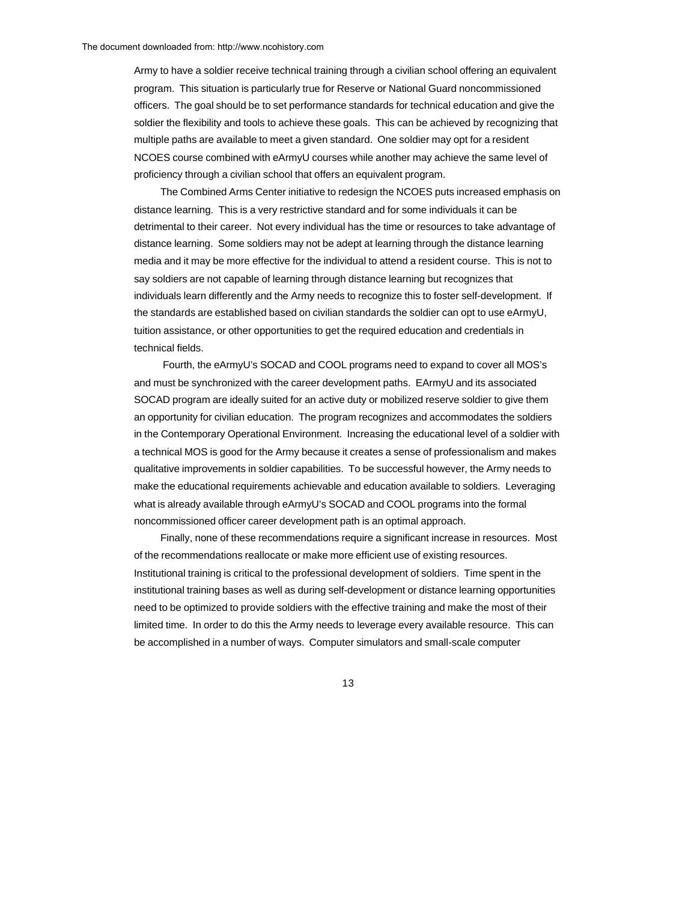Army to have a soldier receive technical training through a civilian school offering an equivalent program. This situation is particularly true for Reserve or National Guard noncommissioned officers. The goal should be to set performance standards for technical education and give the soldier the flexibility and tools to achieve these goals. This can be achieved by recognizing that multiple paths are available to meet a given standard. One soldier may opt for a resident NCOES course combined with eArmyU courses while another may achieve the same level of proficiency through a civilian school that offers an equivalent program.

The Combined Arms Center initiative to redesign the NCOES puts increased emphasis on distance learning. This is a very restrictive standard and for some individuals it can be detrimental to their career. Not every individual has the time or resources to take advantage of distance learning. Some soldiers may not be adept at learning through the distance learning media and it may be more effective for the individual to attend a resident course. This is not to say soldiers are not capable of learning through distance learning but recognizes that individuals learn differently and the Army needs to recognize this to foster self-development. If the standards are established based on civilian standards the soldier can opt to use eArmyU, tuition assistance, or other opportunities to get the required education and credentials in technical fields.

 Fourth, the eArmyU's SOCAD and COOL programs need to expand to cover all MOS's and must be synchronized with the career development paths. EArmyU and its associated SOCAD program are ideally suited for an active duty or mobilized reserve soldier to give them an opportunity for civilian education. The program recognizes and accommodates the soldiers in the Contemporary Operational Environment. Increasing the educational level of a soldier with a technical MOS is good for the Army because it creates a sense of professionalism and makes qualitative improvements in soldier capabilities. To be successful however, the Army needs to make the educational requirements achievable and education available to soldiers. Leveraging what is already available through eArmyU's SOCAD and COOL programs into the formal noncommissioned officer career development path is an optimal approach.

Finally, none of these recommendations require a significant increase in resources. Most of the recommendations reallocate or make more efficient use of existing resources. Institutional training is critical to the professional development of soldiers. Time spent in the institutional training bases as well as during self-development or distance learning opportunities need to be optimized to provide soldiers with the effective training and make the most of their limited time. In order to do this the Army needs to leverage every available resource. This can be accomplished in a number of ways. Computer simulators and small-scale computer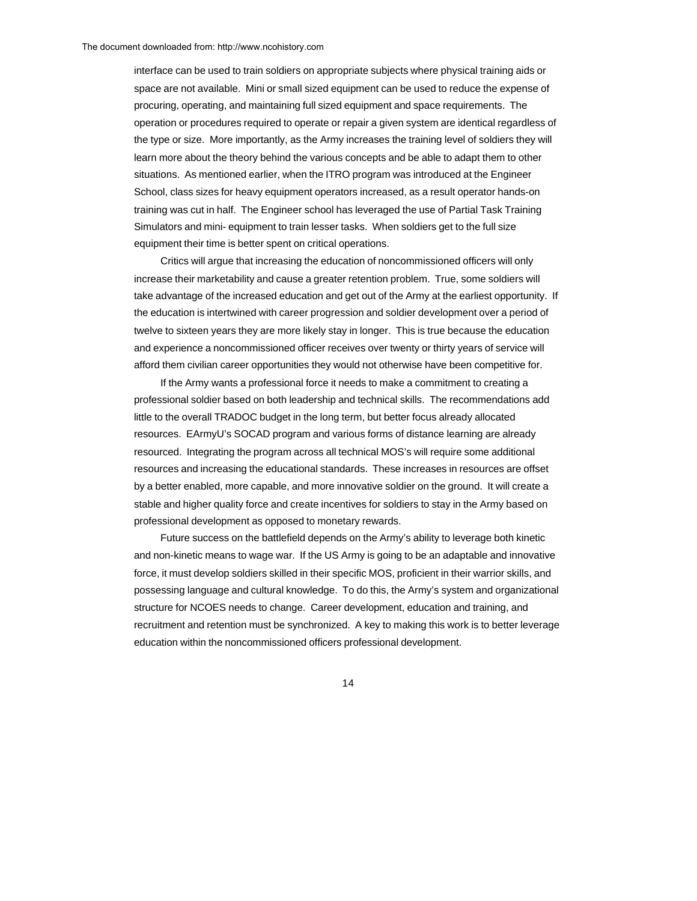interface can be used to train soldiers on appropriate subjects where physical training aids or space are not available. Mini or small sized equipment can be used to reduce the expense of procuring, operating, and maintaining full sized equipment and space requirements. The operation or procedures required to operate or repair a given system are identical regardless of the type or size. More importantly, as the Army increases the training level of soldiers they will learn more about the theory behind the various concepts and be able to adapt them to other situations. As mentioned earlier, when the ITRO program was introduced at the Engineer School, class sizes for heavy equipment operators increased, as a result operator hands-on training was cut in half. The Engineer school has leveraged the use of Partial Task Training Simulators and mini- equipment to train lesser tasks. When soldiers get to the full size equipment their time is better spent on critical operations.

Critics will argue that increasing the education of noncommissioned officers will only increase their marketability and cause a greater retention problem. True, some soldiers will take advantage of the increased education and get out of the Army at the earliest opportunity. If the education is intertwined with career progression and soldier development over a period of twelve to sixteen years they are more likely stay in longer. This is true because the education and experience a noncommissioned officer receives over twenty or thirty years of service will afford them civilian career opportunities they would not otherwise have been competitive for.

If the Army wants a professional force it needs to make a commitment to creating a professional soldier based on both leadership and technical skills. The recommendations add little to the overall TRADOC budget in the long term, but better focus already allocated resources. EArmyU's SOCAD program and various forms of distance learning are already resourced. Integrating the program across all technical MOS's will require some additional resources and increasing the educational standards. These increases in resources are offset by a better enabled, more capable, and more innovative soldier on the ground. It will create a stable and higher quality force and create incentives for soldiers to stay in the Army based on professional development as opposed to monetary rewards.

Future success on the battlefield depends on the Army's ability to leverage both kinetic and non-kinetic means to wage war. If the US Army is going to be an adaptable and innovative force, it must develop soldiers skilled in their specific MOS, proficient in their warrior skills, and possessing language and cultural knowledge. To do this, the Army's system and organizational structure for NCOES needs to change. Career development, education and training, and recruitment and retention must be synchronized. A key to making this work is to better leverage education within the noncommissioned officers professional development.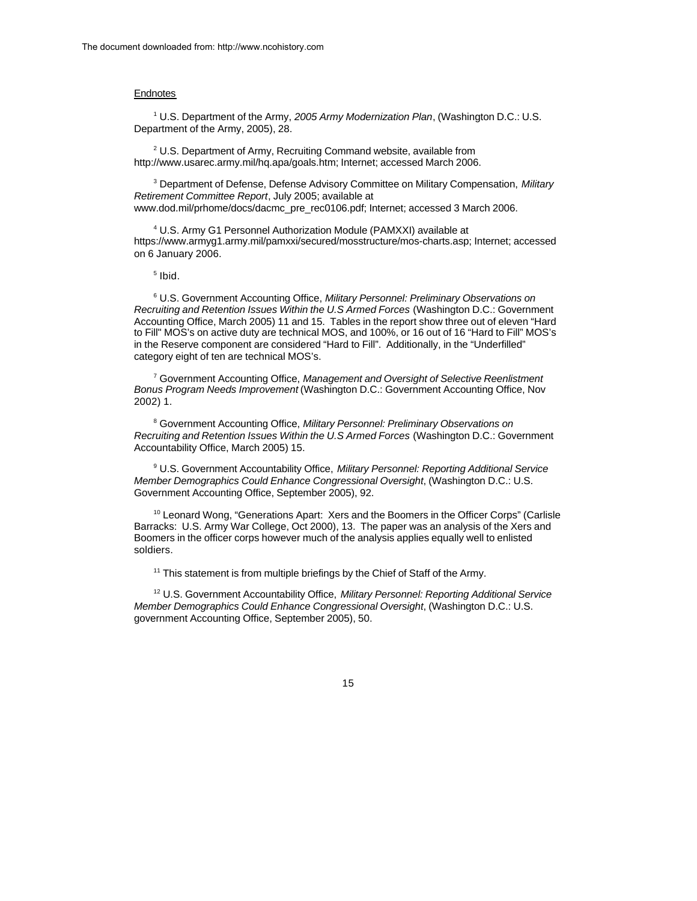## **Endnotes**

<sup>1</sup> U.S. Department of the Army, 2005 Army Modernization Plan, (Washington D.C.: U.S. Department of the Army, 2005), 28.

 $2^2$  U.S. Department of Army, Recruiting Command website, available from http://www.usarec.army.mil/hq.apa/goals.htm; Internet; accessed March 2006.

3 Department of Defense, Defense Advisory Committee on Military Compensation, *Military Retirement Committee Report*, July 2005; available at www.dod.mil/prhome/docs/dacmc\_pre\_rec0106.pdf; Internet; accessed 3 March 2006.

<sup>4</sup> U.S. Army G1 Personnel Authorization Module (PAMXXI) available at https://www.armyg1.army.mil/pamxxi/secured/mosstructure/mos-charts.asp; Internet; accessed on 6 January 2006.

5 Ibid.

6 U.S. Government Accounting Office, *Military Personnel: Preliminary Observations on Recruiting and Retention Issues Within the U.S Armed Forces* (Washington D.C.: Government Accounting Office, March 2005) 11 and 15. Tables in the report show three out of eleven "Hard to Fill" MOS's on active duty are technical MOS, and 100%, or 16 out of 16 "Hard to Fill" MOS's in the Reserve component are considered "Hard to Fill". Additionally, in the "Underfilled" category eight of ten are technical MOS's.

7 Government Accounting Office, *Management and Oversight of Selective Reenlistment Bonus Program Needs Improvement* (Washington D.C.: Government Accounting Office, Nov 2002) 1.

8 Government Accounting Office, *Military Personnel: Preliminary Observations on Recruiting and Retention Issues Within the U.S Armed Forces* (Washington D.C.: Government Accountability Office, March 2005) 15.

9 U.S. Government Accountability Office, *Military Personnel: Reporting Additional Service Member Demographics Could Enhance Congressional Oversight*, (Washington D.C.: U.S. Government Accounting Office, September 2005), 92.

<sup>10</sup> Leonard Wong, "Generations Apart: Xers and the Boomers in the Officer Corps" (Carlisle Barracks: U.S. Army War College, Oct 2000), 13. The paper was an analysis of the Xers and Boomers in the officer corps however much of the analysis applies equally well to enlisted soldiers.

<sup>11</sup> This statement is from multiple briefings by the Chief of Staff of the Army.

<sup>12</sup> U.S. Government Accountability Office, *Military Personnel: Reporting Additional Service Member Demographics Could Enhance Congressional Oversight*, (Washington D.C.: U.S. government Accounting Office, September 2005), 50.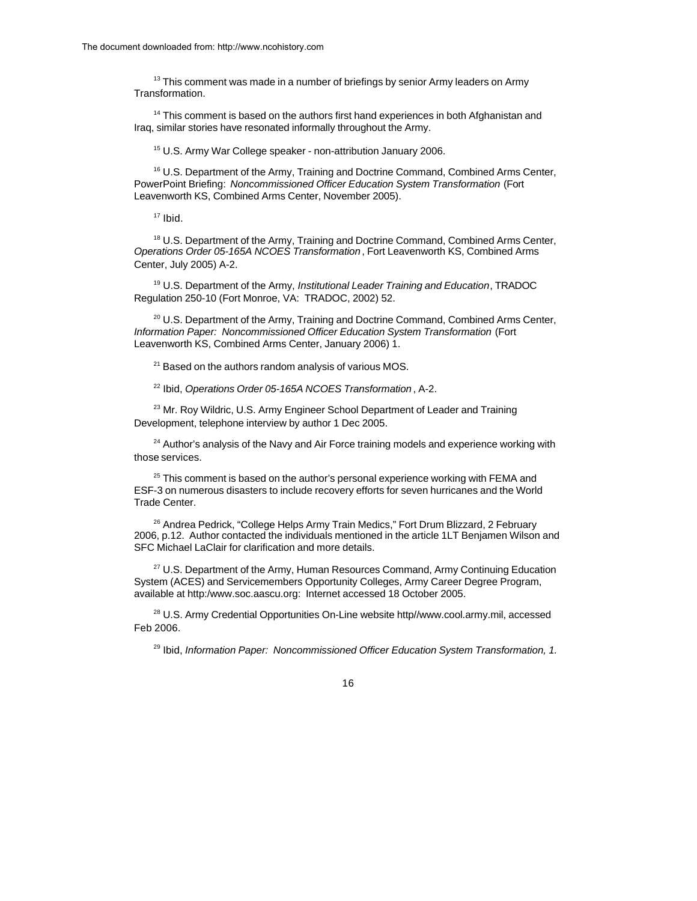$13$  This comment was made in a number of briefings by senior Army leaders on Army Transformation.

<sup>14</sup> This comment is based on the authors first hand experiences in both Afghanistan and Iraq, similar stories have resonated informally throughout the Army.

<sup>15</sup> U.S. Army War College speaker - non-attribution January 2006.

<sup>16</sup> U.S. Department of the Army, Training and Doctrine Command, Combined Arms Center, PowerPoint Briefing: *Noncommissioned Officer Education System Transformation* (Fort Leavenworth KS, Combined Arms Center, November 2005).

<sup>17</sup> Ibid.

<sup>18</sup> U.S. Department of the Army, Training and Doctrine Command, Combined Arms Center, *Operations Order 05-165A NCOES Transformation*, Fort Leavenworth KS, Combined Arms Center, July 2005) A-2.

<sup>19</sup> U.S. Department of the Army, *Institutional Leader Training and Education*, TRADOC Regulation 250-10 (Fort Monroe, VA: TRADOC, 2002) 52.

<sup>20</sup> U.S. Department of the Army, Training and Doctrine Command, Combined Arms Center, *Information Paper: Noncommissioned Officer Education System Transformation* (Fort Leavenworth KS, Combined Arms Center, January 2006) 1.

<sup>21</sup> Based on the authors random analysis of various MOS.

<sup>22</sup> Ibid, *Operations Order 05-165A NCOES Transformation*, A-2.

<sup>23</sup> Mr. Roy Wildric, U.S. Army Engineer School Department of Leader and Training Development, telephone interview by author 1 Dec 2005.

<sup>24</sup> Author's analysis of the Navy and Air Force training models and experience working with those services.

 $25$  This comment is based on the author's personal experience working with FEMA and ESF-3 on numerous disasters to include recovery efforts for seven hurricanes and the World Trade Center.

<sup>26</sup> Andrea Pedrick, "College Helps Army Train Medics," Fort Drum Blizzard, 2 February 2006, p.12. Author contacted the individuals mentioned in the article 1LT Benjamen Wilson and SFC Michael LaClair for clarification and more details.

<sup>27</sup> U.S. Department of the Army, Human Resources Command, Army Continuing Education System (ACES) and Servicemembers Opportunity Colleges, Army Career Degree Program, available at http:/www.soc.aascu.org: Internet accessed 18 October 2005.

<sup>28</sup> U.S. Army Credential Opportunities On-Line website http//www.cool.army.mil, accessed Feb 2006.

<sup>29</sup> Ibid, *Information Paper: Noncommissioned Officer Education System Transformation, 1.*